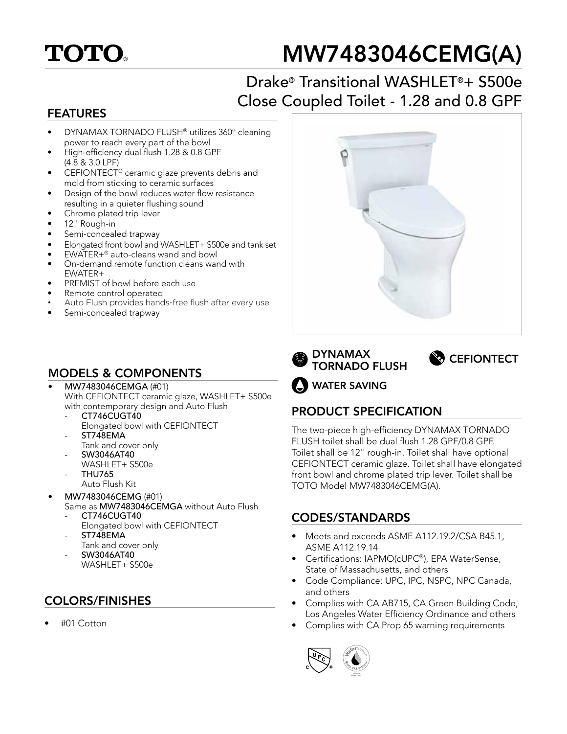

# MW7483046CEMG(A)

## Drake® Transitional WASHLET®+ S500e Close Coupled Toilet - 1.28 and 0.8 GPF

#### FEATURES

- DYNAMAX TORNADO FLUSH® utilizes 360º cleaning power to reach every part of the bowl
- High-efficiency dual flush 1.28 & 0.8 GPF (4.8 & 3.0 LPF)
- CEFIONTECT® ceramic glaze prevents debris and mold from sticking to ceramic surfaces
- Design of the bowl reduces water flow resistance resulting in a quieter flushing sound
- Chrome plated trip lever
- 12" Rough-in
- Semi-concealed trapway
- Elongated front bowl and WASHLET+ S500e and tank set
- $EWATER+<sup>®</sup>$  auto-cleans wand and bowl
- On-demand remote function cleans wand with EWATER+
- PREMIST of bowl before each use
- Remote control operated
- Auto Flush provides hands-free flush after every use
- Semi-concealed trapway

### MODELS & COMPONENTS

- MW7483046CEMGA (#01) With CEFIONTECT ceramic glaze, WASHLET+ S500e with contemporary design and Auto Flush
	- CT746CUGT40 Elongated bowl with CEFIONTECT
	- ST748EMA
	- Tank and cover only
	- SW3046AT40 WASHLET+ S500e
	- THU765
		- Auto Flush Kit
- MW7483046CEMG (#01) Same as MW7483046CEMGA without Auto Flush
	- CT746CUGT40 Elongated bowl with CEFIONTECT
	- ST748EMA Tank and cover only
	- SW3046AT40 WASHLET+ S500e

#### COLORS/FINISHES

• #01 Cotton







WATER SAVING

#### PRODUCT SPECIFICATION

The two-piece high-efficiency DYNAMAX TORNADO FLUSH toilet shall be dual flush 1.28 GPF/0.8 GPF. Toilet shall be 12" rough-in. Toilet shall have optional CEFIONTECT ceramic glaze. Toilet shall have elongated front bowl and chrome plated trip lever. Toilet shall be TOTO Model MW7483046CEMG(A).

#### CODES/STANDARDS

- Meets and exceeds ASME A112.19.2/CSA B45.1, ASME A112.19.14
- Certifications: IAPMO(cUPC®), EPA WaterSense, State of Massachusetts, and others
- Code Compliance: UPC, IPC, NSPC, NPC Canada, and others
- Complies with CA AB715, CA Green Building Code, Los Angeles Water Efficiency Ordinance and others
- Complies with CA Prop 65 warning requirements